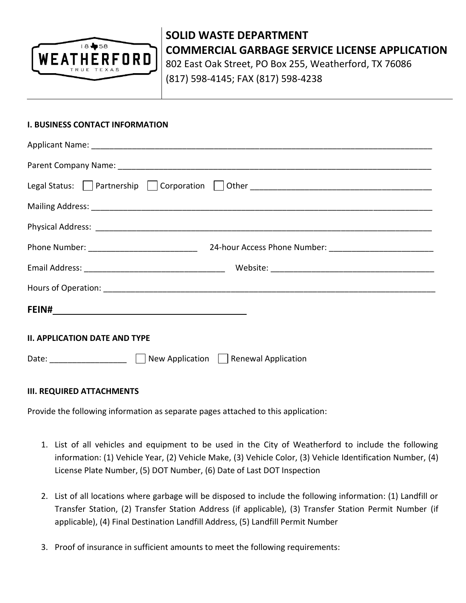

# **SOLID WASTE DEPARTMENT COMMERCIAL GARBAGE SERVICE LICENSE APPLICATION** 802 East Oak Street, PO Box 255, Weatherford, TX 76086

(817) 598-4145; FAX (817) 598-4238

## **I. BUSINESS CONTACT INFORMATION**

| <b>II. APPLICATION DATE AND TYPE</b>          |  |  |  |  |
|-----------------------------------------------|--|--|--|--|
| Date:   New Application   Renewal Application |  |  |  |  |

### **III. REQUIRED ATTACHMENTS**

Provide the following information as separate pages attached to this application:

- 1. List of all vehicles and equipment to be used in the City of Weatherford to include the following information: (1) Vehicle Year, (2) Vehicle Make, (3) Vehicle Color, (3) Vehicle Identification Number, (4) License Plate Number, (5) DOT Number, (6) Date of Last DOT Inspection
- 2. List of all locations where garbage will be disposed to include the following information: (1) Landfill or Transfer Station, (2) Transfer Station Address (if applicable), (3) Transfer Station Permit Number (if applicable), (4) Final Destination Landfill Address, (5) Landfill Permit Number
- 3. Proof of insurance in sufficient amounts to meet the following requirements: